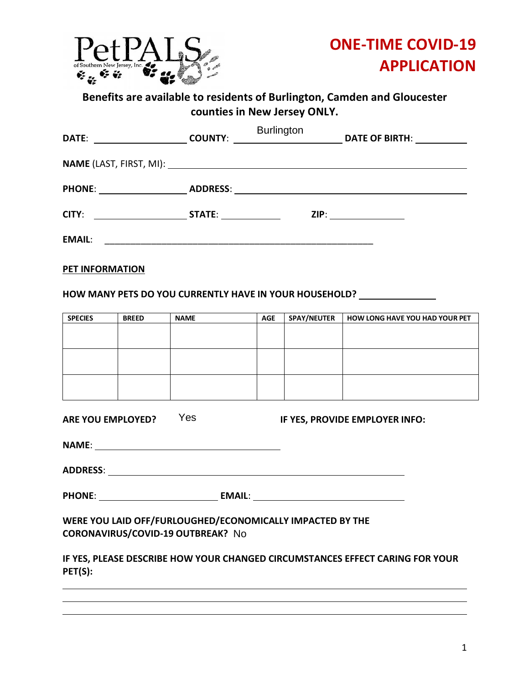

# **counties in New Jersey ONLY.**

| DATE: COUNTY: | <b>Burlington</b> | DATE OF BIRTH: National Party Services                                           |
|---------------|-------------------|----------------------------------------------------------------------------------|
|               |                   |                                                                                  |
|               |                   | PHONE: ___________________________________ADDRESS: _____________________________ |
|               |                   |                                                                                  |
| <b>EMAIL:</b> |                   |                                                                                  |

**PET INFORMATION**

#### **HOW MANY PETS DO YOU CURRENTLY HAVE IN YOUR HOUSEHOLD?**

| <b>SPECIES</b> | <b>BREED</b> | <b>NAME</b> | <b>AGE</b> | <b>SPAY/NEUTER</b> | <b>HOW LONG HAVE YOU HAD YOUR PET</b> |
|----------------|--------------|-------------|------------|--------------------|---------------------------------------|
|                |              |             |            |                    |                                       |
|                |              |             |            |                    |                                       |
|                |              |             |            |                    |                                       |
|                |              |             |            |                    |                                       |
|                |              |             |            |                    |                                       |
|                |              |             |            |                    |                                       |
|                |              |             |            |                    |                                       |
|                |              |             |            |                    |                                       |

ARE YOU EMPLOYED? Yes **IF YES, PROVIDE EMPLOYER INFO:** 

**NAME**:

**ADDRESS**:

**PHONE**: **EMAIL**:

**WERE YOU LAID OFF/FURLOUGHED/ECONOMICALLY IMPACTED BY THE CORONAVIRUS/COVID-19 OUTBREAK?** No No Yes

**IF YES, PLEASE DESCRIBE HOW YOUR CHANGED CIRCUMSTANCES EFFECT CARING FOR YOUR PET(S):**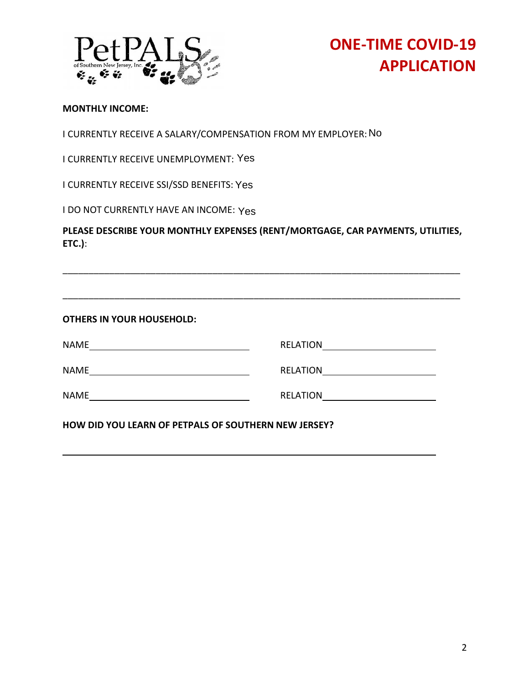

## **ONE-TIME COVID-19 APPLICATION**

#### **MONTHLY INCOME:**

I CURRENTLY RECEIVE A SALARY/COMPENSATION FROM MY EMPLOYER: No

I CURRENTLY RECEIVE UNEMPLOYMENT: Yes

I CURRENTLY RECEIVE SSI/SSD BENEFITS: Yes

I DO NOT CURRENTLY HAVE AN INCOME: Y $\rm es$ 

**PLEASE DESCRIBE YOUR MONTHLY EXPENSES (RENT/MORTGAGE, CAR PAYMENTS, UTILITIES, ETC.)**:

\_\_\_\_\_\_\_\_\_\_\_\_\_\_\_\_\_\_\_\_\_\_\_\_\_\_\_\_\_\_\_\_\_\_\_\_\_\_\_\_\_\_\_\_\_\_\_\_\_\_\_\_\_\_\_\_\_\_\_\_\_\_\_\_\_\_\_\_\_\_\_\_\_\_\_\_\_

\_\_\_\_\_\_\_\_\_\_\_\_\_\_\_\_\_\_\_\_\_\_\_\_\_\_\_\_\_\_\_\_\_\_\_\_\_\_\_\_\_\_\_\_\_\_\_\_\_\_\_\_\_\_\_\_\_\_\_\_\_\_\_\_\_\_\_\_\_\_\_\_\_\_\_\_\_

| <b>OTHERS IN YOUR HOUSEHOLD:</b> |                 |  |  |  |  |  |
|----------------------------------|-----------------|--|--|--|--|--|
| <b>NAME</b>                      | <b>RELATION</b> |  |  |  |  |  |
| <b>NAME</b>                      | <b>RELATION</b> |  |  |  |  |  |
| <b>NAME</b>                      | <b>RELATION</b> |  |  |  |  |  |

**HOW DID YOU LEARN OF PETPALS OF SOUTHERN NEW JERSEY?**